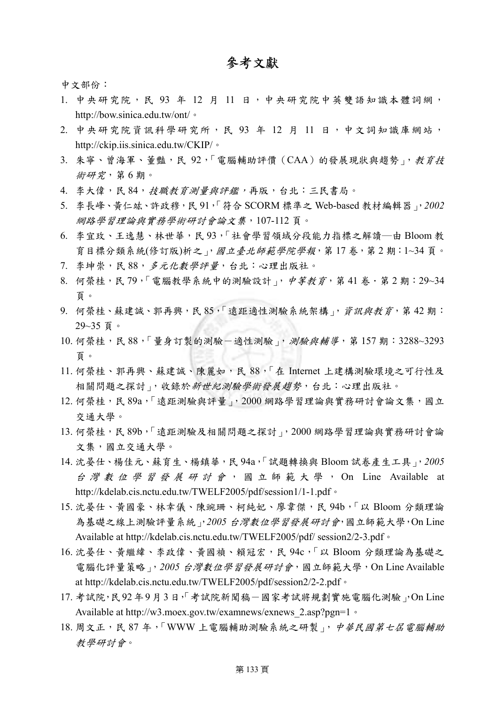## 參考文獻

中文部份:

- 1. 中央研究院,民 93年 12月 11日,中央研究院中英雙語知識本體詞網, http://bow.sinica.edu.tw/ont/。
- 2. 中央研究院資訊科學研究所,民 93年 12月 11日,中文詞知識庫網站, http://ckip.iis.sinica.edu.tw/CKIP/。
- 3. 朱寧、曾海軍、董豔,民 92,「電腦輔助評價 (CAA)的發展現狀與趨勢」,教育技 術研究,第 6 期。
- 4. 李大偉,民 84, 技職教育測量與評鑑,再版,台北:三民書局。
- 5. 李長峰、黃仁竑、許政穆,民 91,「符合 SCORM 標準之 Web-based 教材編輯器」,*2002* 網路學習理論與實務學術研討會論文集,107-112 頁。
- 6. 李宜玫、王逸慧、林世華,民 93,「社會學習領域分段能力指標之解讀―由 Bloom 教 育目標分類系統(修訂版)析之」,國立臺北師範學院學報,第17卷,第2期:1~34頁。
- 7. 李坤崇,民 88,多元化數學評量,台北:心理出版社。
- 8. 何榮桂,民79,「電腦教學系統中的測驗設計」, 中等教育,第41卷·第2期:29~34 頁。
- 9. 何榮桂、蘇建誠、郭再興,民 85,「遠距適性測驗系統架構」,資訊與教育,第42期: 29~35 頁。
- 10. 何榮桂, 民 88, 「量身訂製的測驗-適性測驗」, 測驗與輔導, 第 157 期: 3288~3293 頁。
- 11. 何榮桂、郭再興、蘇建誠、陳麗如,民 88, 「在 Internet 上建構測驗環境之可行性及 相關問題之探討」,收錄於新世紀測驗學術發展趨勢,台北:心理出版社。
- 12. 何榮桂, 民 89a, 「遠距測驗與評量」, 2000 網路學習理論與實務研討會論文集,國立 交通大學。
- 13. 何榮桂,民 89b,「遠距測驗及相關問題之探討」,2000 網路學習理論與實務研討會論 文集,國立交通大學。
- 14. 沈晏仕、楊佳元、蘇育生、楊鎮華,民 94a,「試題轉換與 Bloom 試卷產生工具」,*2005* 台灣數位學習發展研討會,國立師範大學, On Line Available at http://kdelab.cis.nctu.edu.tw/TWELF2005/pdf/session1/1-1.pdf。
- 15. 沈晏仕、黃國豪、林幸儀、陳豌珊、柯純妃、廖韋傑,民 94b,「以 Bloom 分類理論 為基礎之線上測驗評量系統」,*2005* 台灣數位學習發展研討會,國立師範大學,On Line Available at http://kdelab.cis.nctu.edu.tw/TWELF2005/pdf/ session2/2-3.pdf。
- 16. 沈晏仕、黃繼緯、李政偉、黃國禎、賴冠宏,民 94c,「以 Bloom 分類理論為基礎之 電腦化評量策略」,2005 台灣數位學習發展研討會,國立師範大學, On Line Available at http://kdelab.cis.nctu.edu.tw/TWELF2005/pdf/session2/2-2.pdf。
- 17. 考試院,民92年9月3日,「考試院新聞稿-國家考試將規劃實施電腦化測驗」,On Line Available at http://w3.moex.gov.tw/examnews/exnews\_2.asp?pgn=1。
- 18. 周文正,民 87年,「WWW 上電腦輔助測驗系統之研製」, 中華民國第七屆電腦輔助 教學研討會。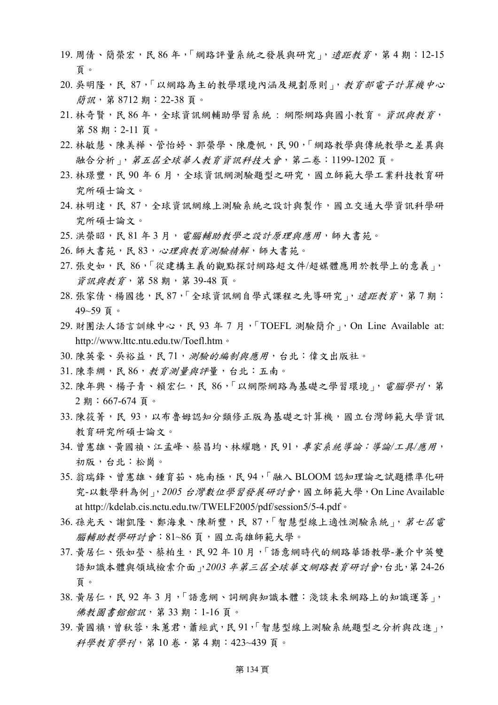- 19. 周倩、簡榮宏,民 86年,「網路評量系統之發展與研究」, 遠距教育, 第4期: 12-15 頁。
- 20. 吳明隆,民 87,「以網路為主的教學環境內涵及規劃原則」,教育部電子計算機中心 簡訊,第 8712 期:22-38 頁。
- 21. 林奇賢,民 86年,全球資訊網輔助學習系統:網際網路與國小教育。資訊與教育, 第 58 期:2-11 頁。
- 22. 林敏慧、陳美樺、管怡婷、郭榮學、陳慶帆,民 90,「網路教學與傳統教學之差異與 融合分析」,第五屆全球華人教育資訊科技大會,第二卷:1199-1202 頁。
- 23. 林璟豐,民 90年6月,全球資訊網測驗題型之研究,國立師範大學工業科技教育研 究所碩士論文。
- 24. 林明達,民 87, 全球資訊網線上測驗系統之設計與製作,國立交通大學資訊科學研 究所碩士論文。
- 25. 洪榮昭,民 81年3月, 電腦輔助教學之設計原理與應用,師大書苑。
- 26. 師大書苑,民 83, 心理與教育測驗精解,師大書苑。
- 27. 張史如,民 86,「從建構主義的觀點探討網路超文件/超媒體應用於教學上的意義」, 資訊與教育,第 58 期,第 39-48 頁。
- 28. 張家倩、楊國德,民 87, 全球資訊網自學式課程之先導研究 |, *遠距教育*, 第 7 期: 49~59 頁。
- 29. 財團法人語言訓練中心, 民 93年7月, 「TOEFL 測驗簡介」, On Line Available at: http://www.lttc.ntu.edu.tw/Toefl.htm。
- 30. 陳英豪、吳裕益,民 71, 別驗的編制與應用, 台北:偉文出版社。
- 31. 陳李綢,民 86,教育測量與評量,台北:五南。
- 32. 陳年興、楊子青、賴宏仁,民 86,「以網際網路為基礎之學習環境」, 電腦學刊, 第 2 期:667-674 頁。
- 33. 陳筱菁,民 93, 以布魯姆認知分類修正版為基礎之計算機,國立台灣師範大學資訊 教育研究所碩士論文。
- 34. 曾憲雄、黃國禎、江孟峰、蔡昌均、林耀聰,民91,專家系統導論:導論/工具/應用, 初版,台北:松崗。
- 35. 翁瑞鋒、曾憲雄、鍾育茹、施南極,民 94, 「融入 BLOOM 認知理論之試題標準化研 究-以數學科為例」,*2005* 台灣數位學習發展研討會,國立師範大學,On Line Available at http://kdelab.cis.nctu.edu.tw/TWELF2005/pdf/session5/5-4.pdf。
- 36. 孫光天、謝凱隆、鄭海東、陳新豐,民 87,「智慧型線上適性測驗系統」, 第七屆電 腦輔助教學研討會: 81~86頁,國立高雄師範大學。
- 37. 黃居仁、張如瑩、蔡柏生,民 92 年 10 月,「語意網時代的網路華語教學-兼介中英雙 語知識本體與領域檢索介面」,*2003* 年第三屆全球華文網路教育研討會,台北,第 24-26 頁。
- 38. 黃居仁,民 92年 3月,「語意網、詞網與知識本體:淺談未來網路上的知識運籌」, 佛教圖書館館訊,第 33 期:1-16 頁。
- 39. 黃國禛,曾秋蓉,朱蕙君,蕭經武,民 91,「智慧型線上測驗系統題型之分析與改進」, 科學教育學刊,第 10 卷.第 4 期:423~439 頁。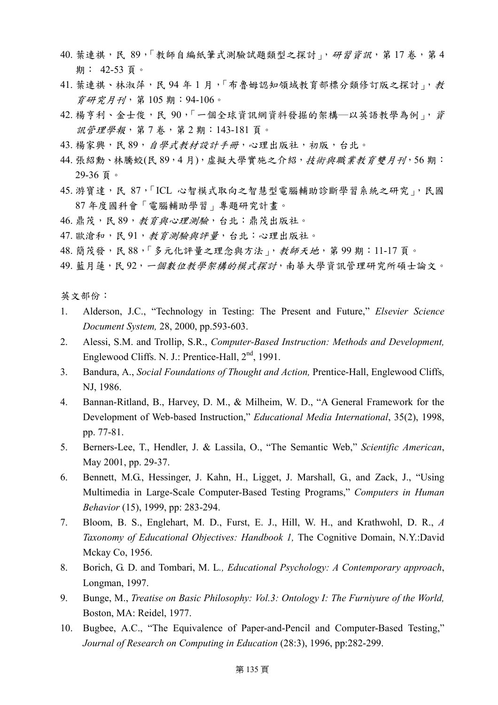- 40. 葉連祺,民 89,「教師自編紙筆式測驗試題類型之探討」,研習資訊,第17 卷,第4 期: 42-53 頁。
- 41. 葉連祺、林淑萍,民 94年1月,「布魯姆認知領域教育部標分類修訂版之探討」,教 育研究月刊,第 105 期:94-106。
- 42. 楊亨利、金士俊,民 90,「一個全球資訊網資料發掘的架構–以英語教學為例」,資 訊管理學報,第 7 卷,第 2 期:143-181 頁。
- 43. 楊家興,民 89, 自學式教材設計手冊,心理出版社,初版,台北。
- 44. 張紹勳、林騰蛟(民89,4月), 虛擬大學實施之介紹, 技術與職業教育雙月刊, 56期: 29-36 頁。
- 45. 游寶達,民 87,「ICL 心智模式取向之智慧型電腦輔助診斷學習系統之研究」,民國 87 年度國科會「電腦輔助學習」專題研究計畫。
- 46. 鼎茂,民 89, 教育與心理測驗,台北:鼎茂出版社。
- 47. 歐滄和,民 91, 教育測驗與評量,台北:心理出版社。
- 48. 簡茂發,民 88,「多元化評量之理念與方法」,教師天地,第99期:11-17頁。
- 49. 藍月蓮,民92,一個數位教學架構的模式探討,南華大學資訊管理研究所碩士論文。

英文部份:

- 1. Alderson, J.C., "Technology in Testing: The Present and Future," *Elsevier Science Document System,* 28, 2000, pp.593-603.
- 2. Alessi, S.M. and Trollip, S.R., *Computer-Based Instruction: Methods and Development,* Englewood Cliffs. N. J.: Prentice-Hall, 2<sup>nd</sup>, 1991.
- 3. Bandura, A., *Social Foundations of Thought and Action,* Prentice-Hall, Englewood Cliffs, NJ, 1986.
- 4. Bannan-Ritland, B., Harvey, D. M., & Milheim, W. D., "A General Framework for the Development of Web-based Instruction," *Educational Media International*, 35(2), 1998, pp. 77-81.
- 5. Berners-Lee, T., Hendler, J. & Lassila, O., "The Semantic Web," *Scientific American*, May 2001, pp. 29-37.
- 6. Bennett, M.G., Hessinger, J. Kahn, H., Ligget, J. Marshall, G., and Zack, J., "Using Multimedia in Large-Scale Computer-Based Testing Programs," *Computers in Human Behavior* (15), 1999, pp: 283-294.
- 7. Bloom, B. S., Englehart, M. D., Furst, E. J., Hill, W. H., and Krathwohl, D. R., *A Taxonomy of Educational Objectives: Handbook 1,* The Cognitive Domain, N.Y.:David Mckay Co, 1956.
- 8. Borich, G. D. and Tombari, M. L*., Educational Psychology: A Contemporary approach*, Longman, 1997.
- 9. Bunge, M., *Treatise on Basic Philosophy: Vol.3: Ontology I: The Furniyure of the World,* Boston, MA: Reidel, 1977.
- 10. Bugbee, A.C., "The Equivalence of Paper-and-Pencil and Computer-Based Testing," *Journal of Research on Computing in Education* (28:3), 1996, pp:282-299.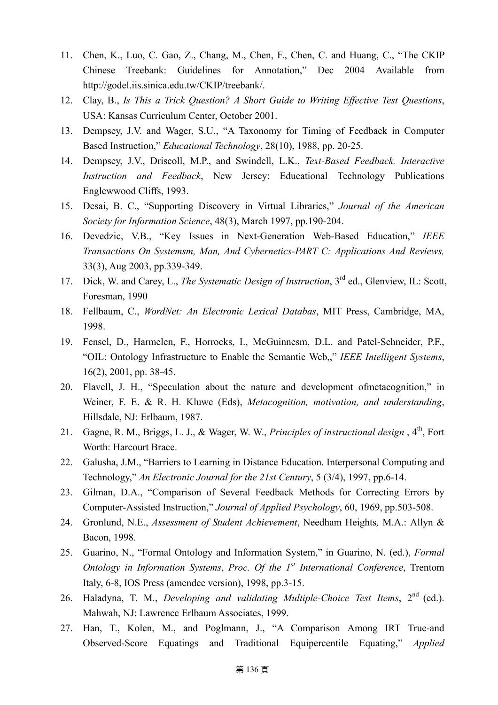- 11. Chen, K., Luo, C. Gao, Z., Chang, M., Chen, F., Chen, C. and Huang, C., "The CKIP Chinese Treebank: Guidelines for Annotation," Dec 2004 Available from http://godel.iis.sinica.edu.tw/CKIP/treebank/.
- 12. Clay, B., *Is This a Trick Question? A Short Guide to Writing Effective Test Questions*, USA: Kansas Curriculum Center, October 2001.
- 13. Dempsey, J.V. and Wager, S.U., "A Taxonomy for Timing of Feedback in Computer Based Instruction," *Educational Technology*, 28(10), 1988, pp. 20-25.
- 14. Dempsey, J.V., Driscoll, M.P., and Swindell, L.K., *Text-Based Feedback. Interactive Instruction and Feedback*, New Jersey: Educational Technology Publications Englewwood Cliffs, 1993.
- 15. Desai, B. C., "Supporting Discovery in Virtual Libraries," *Journal of the American Society for Information Science*, 48(3), March 1997, pp.190-204.
- 16. Devedzic, V.B., "Key Issues in Next-Generation Web-Based Education," *IEEE Transactions On Systemsm, Man, And Cybernetics-PART C: Applications And Reviews,* 33(3), Aug 2003, pp.339-349.
- 17. Dick, W. and Carey, L., *The Systematic Design of Instruction*, 3rd ed., Glenview, IL: Scott, Foresman, 1990
- 18. Fellbaum, C., *WordNet: An Electronic Lexical Databas*, MIT Press, Cambridge, MA, 1998.
- 19. Fensel, D., Harmelen, F., Horrocks, I., McGuinnesm, D.L. and Patel-Schneider, P.F., "OIL: Ontology Infrastructure to Enable the Semantic Web,," *IEEE Intelligent Systems*, 16(2), 2001, pp. 38-45.
- 20. Flavell, J. H., "Speculation about the nature and development ofmetacognition," in Weiner, F. E. & R. H. Kluwe (Eds), *Metacognition, motivation, and understanding*, Hillsdale, NJ: Erlbaum, 1987.
- 21. Gagne, R. M., Briggs, L. J., & Wager, W. W., *Principles of instructional design*, 4<sup>th</sup>, Fort Worth: Harcourt Brace.
- 22. Galusha, J.M., "Barriers to Learning in Distance Education. Interpersonal Computing and Technology," *An Electronic Journal for the 21st Century*, 5 (3/4), 1997, pp.6-14.
- 23. Gilman, D.A., "Comparison of Several Feedback Methods for Correcting Errors by Computer-Assisted Instruction," *Journal of Applied Psychology*, 60, 1969, pp.503-508.
- 24. Gronlund, N.E., *Assessment of Student Achievement*, Needham Heights*,* M.A.: Allyn & Bacon, 1998.
- 25. Guarino, N., "Formal Ontology and Information System," in Guarino, N. (ed.), *Formal Ontology in Information Systems*, *Proc. Of the 1st International Conference*, Trentom Italy, 6-8, IOS Press (amendee version), 1998, pp.3-15.
- 26. Haladyna, T. M., *Developing and validating Multiple-Choice Test Items*, 2nd (ed.). Mahwah, NJ: Lawrence Erlbaum Associates, 1999.
- 27. Han, T., Kolen, M., and Poglmann, J., "A Comparison Among IRT True-and Observed-Score Equatings and Traditional Equipercentile Equating," *Applied*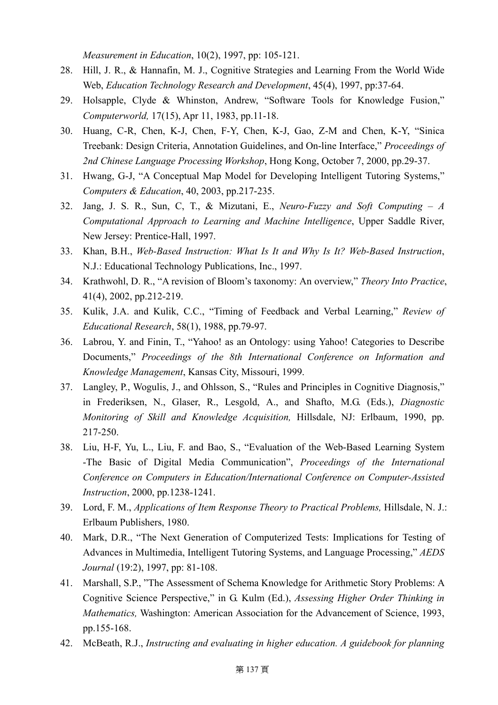*Measurement in Education*, 10(2), 1997, pp: 105-121.

- 28. Hill, J. R., & Hannafin, M. J., Cognitive Strategies and Learning From the World Wide Web, *Education Technology Research and Development*, 45(4), 1997, pp:37-64.
- 29. Holsapple, Clyde & Whinston, Andrew, "Software Tools for Knowledge Fusion," *Computerworld,* 17(15), Apr 11, 1983, pp.11-18.
- 30. Huang, C-R, Chen, K-J, Chen, F-Y, Chen, K-J, Gao, Z-M and Chen, K-Y, "Sinica Treebank: Design Criteria, Annotation Guidelines, and On-line Interface," *Proceedings of 2nd Chinese Language Processing Workshop*, Hong Kong, October 7, 2000, pp.29-37.
- 31. Hwang, G-J, "A Conceptual Map Model for Developing Intelligent Tutoring Systems," *Computers & Education*, 40, 2003, pp.217-235.
- 32. Jang, J. S. R., Sun, C, T., & Mizutani, E., *Neuro-Fuzzy and Soft Computing A Computational Approach to Learning and Machine Intelligence*, Upper Saddle River, New Jersey: Prentice-Hall, 1997.
- 33. Khan, B.H., *Web-Based Instruction: What Is It and Why Is It? Web-Based Instruction*, N.J.: Educational Technology Publications, Inc., 1997.
- 34. Krathwohl, D. R., "A revision of Bloom's taxonomy: An overview," *Theory Into Practice*, 41(4), 2002, pp.212-219.
- 35. Kulik, J.A. and Kulik, C.C., "Timing of Feedback and Verbal Learning," *Review of Educational Research*, 58(1), 1988, pp.79-97.
- 36. Labrou, Y. and Finin, T., "Yahoo! as an Ontology: using Yahoo! Categories to Describe Documents," *Proceedings of the 8th International Conference on Information and Knowledge Management*, Kansas City, Missouri, 1999.
- 37. Langley, P., Wogulis, J., and Ohlsson, S., "Rules and Principles in Cognitive Diagnosis," in Frederiksen, N., Glaser, R., Lesgold, A., and Shafto, M.G. (Eds.), *Diagnostic Monitoring of Skill and Knowledge Acquisition,* Hillsdale, NJ: Erlbaum, 1990, pp. 217-250.
- 38. Liu, H-F, Yu, L., Liu, F. and Bao, S., "Evaluation of the Web-Based Learning System -The Basic of Digital Media Communication", *Proceedings of the International Conference on Computers in Education/International Conference on Computer-Assisted Instruction*, 2000, pp.1238-1241.
- 39. Lord, F. M., *Applications of Item Response Theory to Practical Problems,* Hillsdale, N. J.: Erlbaum Publishers, 1980.
- 40. Mark, D.R., "The Next Generation of Computerized Tests: Implications for Testing of Advances in Multimedia, Intelligent Tutoring Systems, and Language Processing," *AEDS Journal* (19:2), 1997, pp: 81-108.
- 41. Marshall, S.P., "The Assessment of Schema Knowledge for Arithmetic Story Problems: A Cognitive Science Perspective," in G. Kulm (Ed.), *Assessing Higher Order Thinking in Mathematics,* Washington: American Association for the Advancement of Science, 1993, pp.155-168.
- 42. McBeath, R.J., *Instructing and evaluating in higher education. A guidebook for planning*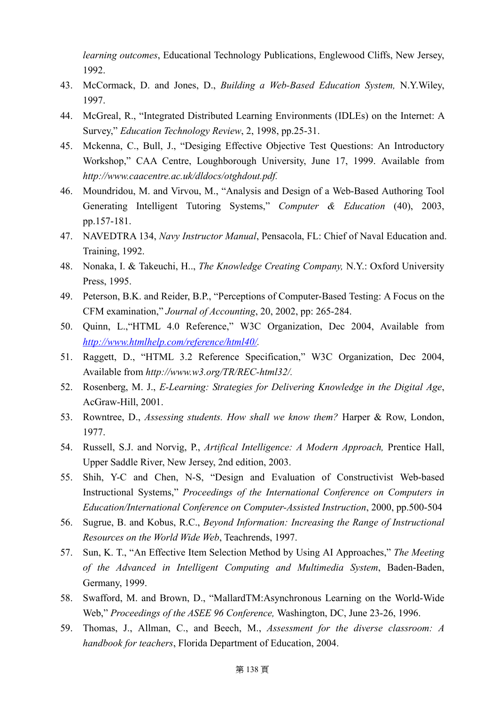*learning outcomes*, Educational Technology Publications, Englewood Cliffs, New Jersey, 1992.

- 43. McCormack, D. and Jones, D., *Building a Web-Based Education System,* N.Y.Wiley, 1997.
- 44. McGreal, R., "Integrated Distributed Learning Environments (IDLEs) on the Internet: A Survey," *Education Technology Review*, 2, 1998, pp.25-31.
- 45. Mckenna, C., Bull, J., "Desiging Effective Objective Test Questions: An Introductory Workshop," CAA Centre, Loughborough University, June 17, 1999. Available from *http://www.caacentre.ac.uk/dldocs/otghdout.pdf.*
- 46. Moundridou, M. and Virvou, M., "Analysis and Design of a Web-Based Authoring Tool Generating Intelligent Tutoring Systems," *Computer & Education* (40), 2003, pp.157-181.
- 47. NAVEDTRA 134, *Navy Instructor Manual*, Pensacola, FL: Chief of Naval Education and. Training, 1992.
- 48. Nonaka, I. & Takeuchi, H.., *The Knowledge Creating Company,* N.Y.: Oxford University Press, 1995.
- 49. Peterson, B.K. and Reider, B.P., "Perceptions of Computer-Based Testing: A Focus on the CFM examination," *Journal of Accounting*, 20, 2002, pp: 265-284.
- 50. Quinn, L.,"HTML 4.0 Reference," W3C Organization, Dec 2004, Available from *[http://www.htmlhelp.com/reference/html40/](http://www.buginword.com).*
- 51. Raggett, D., "HTML 3.2 Reference Specification," W3C Organization, Dec 2004, Available from *http://www.w3.org/TR/REC-html32/.*
- 52. Rosenberg, M. J., *E-Learning: Strategies for Delivering Knowledge in the Digital Age*, AcGraw-Hill, 2001.
- 53. Rowntree, D., *Assessing students. How shall we know them?* Harper & Row, London, 1977.
- 54. Russell, S.J. and Norvig, P., *Artifical Intelligence: A Modern Approach,* Prentice Hall, Upper Saddle River, New Jersey, 2nd edition, 2003.
- 55. Shih, Y-C and Chen, N-S, "Design and Evaluation of Constructivist Web-based Instructional Systems," *Proceedings of the International Conference on Computers in Education/International Conference on Computer-Assisted Instruction*, 2000, pp.500-504
- 56. Sugrue, B. and Kobus, R.C., *Beyond Information: Increasing the Range of Instructional Resources on the World Wide Web*, Teachrends, 1997.
- 57. Sun, K. T., "An Effective Item Selection Method by Using AI Approaches," *The Meeting of the Advanced in Intelligent Computing and Multimedia System*, Baden-Baden, Germany, 1999.
- 58. Swafford, M. and Brown, D., "MallardTM:Asynchronous Learning on the World-Wide Web," *Proceedings of the ASEE 96 Conference,* Washington, DC, June 23-26, 1996.
- 59. Thomas, J., Allman, C., and Beech, M., *Assessment for the diverse classroom: A handbook for teachers*, Florida Department of Education, 2004.